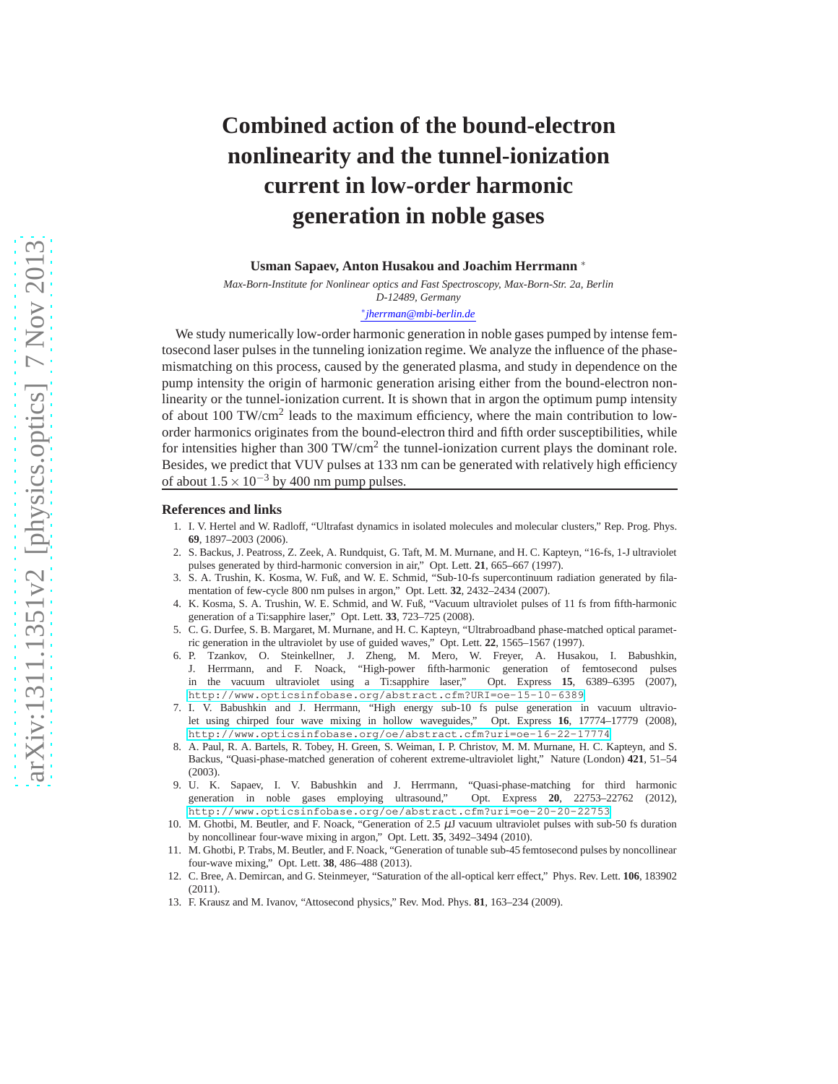# **Combined action of the bound-electron nonlinearity and the tunnel-ionization current in low-order harmonic generation in noble gases**

#### **Usman Sapaev, Anton Husakou and Joachim Herrmann** ∗

*Max-Born-Institute for Nonlinear optics and Fast Spectroscopy, Max-Born-Str. 2a, Berlin D-12489, Germany*

#### ∗ *jherrman@mbi-berlin.de*

We study numerically low-order harmonic generation in noble gases pumped by intense femtosecond laser pulses in the tunneling ionization regime. We analyze the influence of the phasemismatching on this process, caused by the generated plasma, and study in dependence on the pump intensity the origin of harmonic generation arising either from the bound-electron nonlinearity or the tunnel-ionization current. It is shown that in argon the optimum pump intensity of about 100 TW/cm<sup>2</sup> leads to the maximum efficiency, where the main contribution to loworder harmonics originates from the bound-electron third and fifth order susceptibilities, while for intensities higher than 300 TW/cm<sup>2</sup> the tunnel-ionization current plays the dominant role. Besides, we predict that VUV pulses at 133 nm can be generated with relatively high efficiency of about  $1.5 \times 10^{-3}$  by 400 nm pump pulses.

#### <span id="page-0-0"></span>**References and links**

- 1. I. V. Hertel and W. Radloff, "Ultrafast dynamics in isolated molecules and molecular clusters," Rep. Prog. Phys. **69**, 1897–2003 (2006).
- <span id="page-0-1"></span>2. S. Backus, J. Peatross, Z. Zeek, A. Rundquist, G. Taft, M. M. Murnane, and H. C. Kapteyn, "16-fs, 1-J ultraviolet pulses generated by third-harmonic conversion in air," Opt. Lett. **21**, 665–667 (1997).
- <span id="page-0-2"></span>3. S. A. Trushin, K. Kosma, W. Fuß, and W. E. Schmid, "Sub-10-fs supercontinuum radiation generated by filamentation of few-cycle 800 nm pulses in argon," Opt. Lett. **32**, 2432–2434 (2007).
- <span id="page-0-3"></span>4. K. Kosma, S. A. Trushin, W. E. Schmid, and W. Fuß, "Vacuum ultraviolet pulses of 11 fs from fifth-harmonic generation of a Ti:sapphire laser," Opt. Lett. **33**, 723–725 (2008).
- <span id="page-0-4"></span>5. C. G. Durfee, S. B. Margaret, M. Murnane, and H. C. Kapteyn, "Ultrabroadband phase-matched optical parametric generation in the ultraviolet by use of guided waves," Opt. Lett. **22**, 1565–1567 (1997).
- 6. P. Tzankov, O. Steinkellner, J. Zheng, M. Mero, W. Freyer, A. Husakou, I. Babushkin, J. Herrmann, and F. Noack, "High-power fifth-harmonic generation of femtosecond pulses in the vacuum ultraviolet using a Ti:sapphire laser," Opt. Express **15**, 6389–6395 (2007), <http://www.opticsinfobase.org/abstract.cfm?URI=oe-15-10-6389>.
- <span id="page-0-5"></span>7. I. V. Babushkin and J. Herrmann, "High energy sub-10 fs pulse generation in vacuum ultraviolet using chirped four wave mixing in hollow waveguides," Opt. Express **16**, 17774–17779 (2008), <http://www.opticsinfobase.org/oe/abstract.cfm?uri=oe-16-22-17774>.
- <span id="page-0-6"></span>8. A. Paul, R. A. Bartels, R. Tobey, H. Green, S. Weiman, I. P. Christov, M. M. Murnane, H. C. Kapteyn, and S. Backus, "Quasi-phase-matched generation of coherent extreme-ultraviolet light," Nature (London) **421**, 51–54 (2003).
- <span id="page-0-7"></span>9. U. K. Sapaev, I. V. Babushkin and J. Herrmann, "Quasi-phase-matching for third harmonic generation in noble gases employing ultrasound," <http://www.opticsinfobase.org/oe/abstract.cfm?uri=oe-20-20-22753>.
- <span id="page-0-8"></span>10. M. Ghotbi, M. Beutler, and F. Noack, "Generation of  $2.5 \mu$ J vacuum ultraviolet pulses with sub-50 fs duration by noncollinear four-wave mixing in argon," Opt. Lett. **35**, 3492–3494 (2010).
- <span id="page-0-9"></span>11. M. Ghotbi, P. Trabs, M. Beutler, and F. Noack, "Generation of tunable sub-45 femtosecond pulses by noncollinear four-wave mixing," Opt. Lett. **38**, 486–488 (2013).
- <span id="page-0-10"></span>12. C. Bree, A. Demircan, and G. Steinmeyer, "Saturation of the all-optical kerr effect," Phys. Rev. Lett. **106**, 183902 (2011).
- <span id="page-0-11"></span>13. F. Krausz and M. Ivanov, "Attosecond physics," Rev. Mod. Phys. **81**, 163–234 (2009).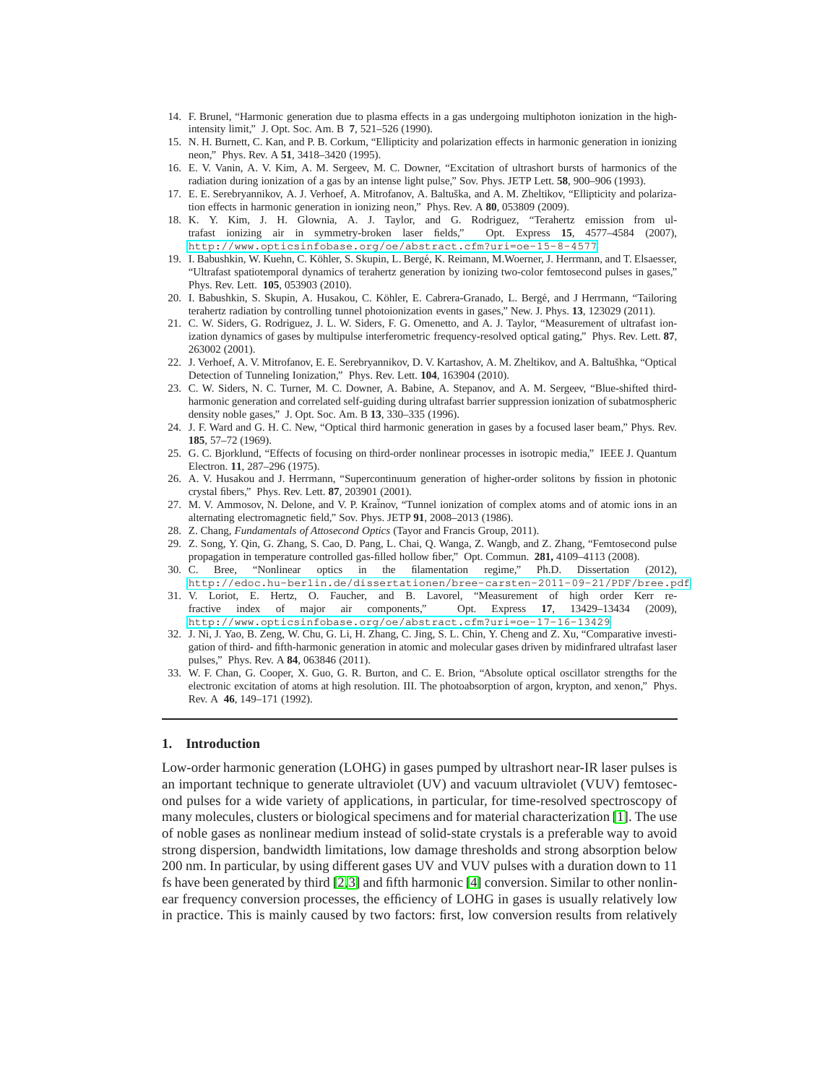- <span id="page-1-0"></span>14. F. Brunel, "Harmonic generation due to plasma effects in a gas undergoing multiphoton ionization in the highintensity limit," J. Opt. Soc. Am. B **7**, 521–526 (1990).
- <span id="page-1-1"></span>15. N. H. Burnett, C. Kan, and P. B. Corkum, "Ellipticity and polarization effects in harmonic generation in ionizing neon," Phys. Rev. A **51**, 3418–3420 (1995).
- <span id="page-1-2"></span>16. E. V. Vanin, A. V. Kim, A. M. Sergeev, M. C. Downer, "Excitation of ultrashort bursts of harmonics of the radiation during ionization of a gas by an intense light pulse," Sov. Phys. JETP Lett. **58**, 900–906 (1993).
- <span id="page-1-3"></span>17. E. E. Serebryannikov, A. J. Verhoef, A. Mitrofanov, A. Baltu˘ska, and A. M. Zheltikov, "Ellipticity and polarization effects in harmonic generation in ionizing neon," Phys. Rev. A **80**, 053809 (2009).
- <span id="page-1-4"></span>18. K. Y. Kim, J. H. Glownia, A. J. Taylor, and G. Rodriguez, "Terahertz emission from ultrafast ionizing air in symmetry-broken laser fields," Opt. Express **15**, 4577–4584 (2007), <http://www.opticsinfobase.org/oe/abstract.cfm?uri=oe-15-8-4577>.
- <span id="page-1-13"></span>19. I. Babushkin, W. Kuehn, C. Köhler, S. Skupin, L. Bergé, K. Reimann, M. Woerner, J. Herrmann, and T. Elsaesser, "Ultrafast spatiotemporal dynamics of terahertz generation by ionizing two-color femtosecond pulses in gases," Phys. Rev. Lett. **105**, 053903 (2010).
- <span id="page-1-5"></span>20. I. Babushkin, S. Skupin, A. Husakou, C. Köhler, E. Cabrera-Granado, L. Bergé, and J Herrmann, "Tailoring terahertz radiation by controlling tunnel photoionization events in gases," New. J. Phys. **13**, 123029 (2011).
- <span id="page-1-6"></span>21. C. W. Siders, G. Rodriguez, J. L. W. Siders, F. G. Omenetto, and A. J. Taylor, "Measurement of ultrafast ionization dynamics of gases by multipulse interferometric frequency-resolved optical gating," Phys. Rev. Lett. **87**, 263002 (2001).
- <span id="page-1-7"></span>22. J. Verhoef, A. V. Mitrofanov, E. E. Serebryannikov, D. V. Kartashov, A. M. Zheltikov, and A. Baltušhka, "Optical Detection of Tunneling Ionization," Phys. Rev. Lett. **104**, 163904 (2010).
- <span id="page-1-8"></span>23. C. W. Siders, N. C. Turner, M. C. Downer, A. Babine, A. Stepanov, and A. M. Sergeev, "Blue-shifted thirdharmonic generation and correlated self-guiding during ultrafast barrier suppression ionization of subatmospheric density noble gases," J. Opt. Soc. Am. B **13**, 330–335 (1996).
- <span id="page-1-9"></span>24. J. F. Ward and G. H. C. New, "Optical third harmonic generation in gases by a focused laser beam," Phys. Rev. **185**, 57–72 (1969).
- <span id="page-1-10"></span>25. G. C. Bjorklund, "Effects of focusing on third-order nonlinear processes in isotropic media," IEEE J. Quantum Electron. **11**, 287–296 (1975).
- <span id="page-1-11"></span>26. A. V. Husakou and J. Herrmann, "Supercontinuum generation of higher-order solitons by fission in photonic crystal fibers," Phys. Rev. Lett. **87**, 203901 (2001).
- <span id="page-1-12"></span>27. M. V. Ammosov, N. Delone, and V. P. Kraĭnov, "Tunnel ionization of complex atoms and of atomic ions in an alternating electromagnetic field," Sov. Phys. JETP **91**, 2008–2013 (1986).
- <span id="page-1-14"></span>28. Z. Chang, *Fundamentals of Attosecond Optics* (Tayor and Francis Group, 2011).
- <span id="page-1-15"></span>29. Z. Song, Y. Qin, G. Zhang, S. Cao, D. Pang, L. Chai, Q. Wanga, Z. Wangb, and Z. Zhang, "Femtosecond pulse propagation in temperature controlled gas-filled hollow fiber," Opt. Commun. **281,** 4109–4113 (2008).
- <span id="page-1-18"></span>30. C. Bree, "Nonlinear optics in the filamentation regime," Ph.D. Dissertation (2012), <http://edoc.hu-berlin.de/dissertationen/bree-carsten-2011-09-21/PDF/bree.pdf>.
- <span id="page-1-16"></span>31. V. Loriot, E. Hertz, O. Faucher, and B. Lavorel, "Measurement of high order Kerr refractive index of major air components," Opt. Express **17**, 13429–13434 (2009), <http://www.opticsinfobase.org/oe/abstract.cfm?uri=oe-17-16-13429>.
- <span id="page-1-17"></span>32. J. Ni, J. Yao, B. Zeng, W. Chu, G. Li, H. Zhang, C. Jing, S. L. Chin, Y. Cheng and Z. Xu, "Comparative investigation of third- and fifth-harmonic generation in atomic and molecular gases driven by midinfrared ultrafast laser pulses," Phys. Rev. A **84**, 063846 (2011).
- <span id="page-1-19"></span>33. W. F. Chan, G. Cooper, X. Guo, G. R. Burton, and C. E. Brion, "Absolute optical oscillator strengths for the electronic excitation of atoms at high resolution. III. The photoabsorption of argon, krypton, and xenon," Phys. Rev. A **46**, 149–171 (1992).

### **1. Introduction**

Low-order harmonic generation (LOHG) in gases pumped by ultrashort near-IR laser pulses is an important technique to generate ultraviolet (UV) and vacuum ultraviolet (VUV) femtosecond pulses for a wide variety of applications, in particular, for time-resolved spectroscopy of many molecules, clusters or biological specimens and for material characterization [\[1\]](#page-0-0). The use of noble gases as nonlinear medium instead of solid-state crystals is a preferable way to avoid strong dispersion, bandwidth limitations, low damage thresholds and strong absorption below 200 nm. In particular, by using different gases UV and VUV pulses with a duration down to 11 fs have been generated by third [\[2,](#page-0-1)[3\]](#page-0-2) and fifth harmonic [\[4\]](#page-0-3) conversion. Similar to other nonlinear frequency conversion processes, the efficiency of LOHG in gases is usually relatively low in practice. This is mainly caused by two factors: first, low conversion results from relatively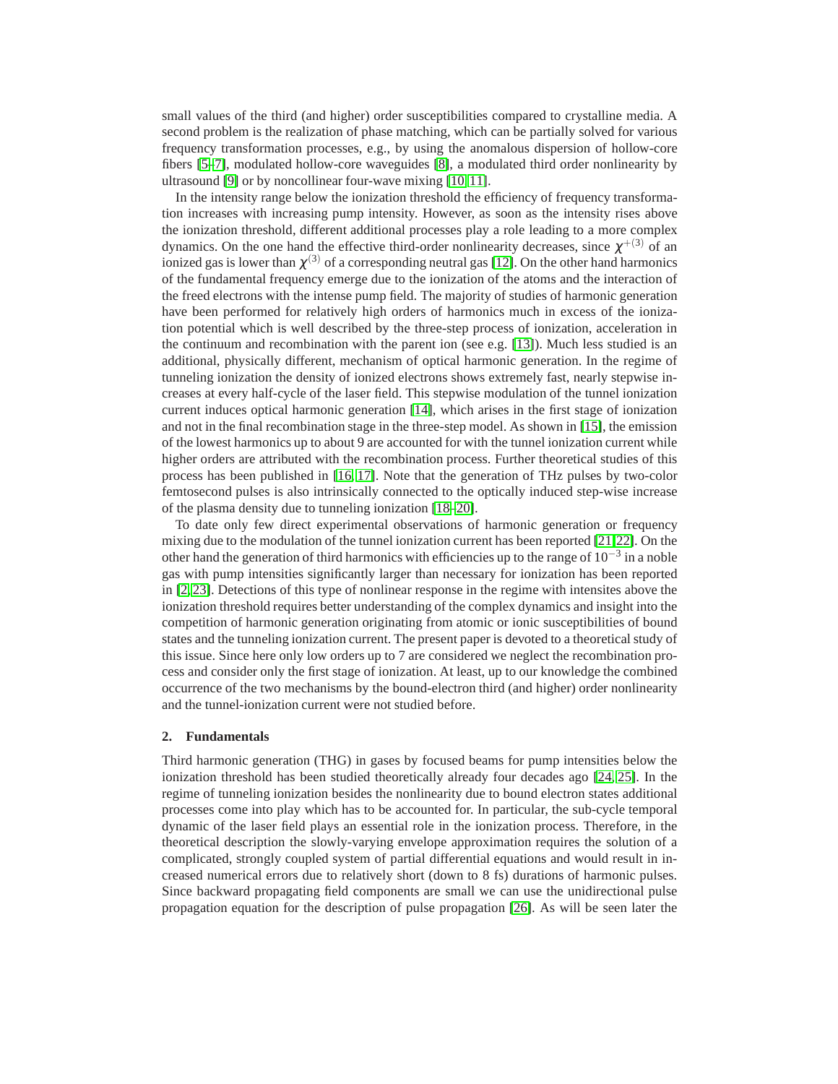small values of the third (and higher) order susceptibilities compared to crystalline media. A second problem is the realization of phase matching, which can be partially solved for various frequency transformation processes, e.g., by using the anomalous dispersion of hollow-core fibers [\[5](#page-0-4)[–7\]](#page-0-5), modulated hollow-core waveguides [\[8\]](#page-0-6), a modulated third order nonlinearity by ultrasound [\[9\]](#page-0-7) or by noncollinear four-wave mixing [\[10,](#page-0-8) [11\]](#page-0-9).

In the intensity range below the ionization threshold the efficiency of frequency transformation increases with increasing pump intensity. However, as soon as the intensity rises above the ionization threshold, different additional processes play a role leading to a more complex dynamics. On the one hand the effective third-order nonlinearity decreases, since  $\chi^{+(3)}$  of an ionized gas is lower than  $\chi^{(3)}$  of a corresponding neutral gas [\[12\]](#page-0-10). On the other hand harmonics of the fundamental frequency emerge due to the ionization of the atoms and the interaction of the freed electrons with the intense pump field. The majority of studies of harmonic generation have been performed for relatively high orders of harmonics much in excess of the ionization potential which is well described by the three-step process of ionization, acceleration in the continuum and recombination with the parent ion (see e.g.  $[13]$ ). Much less studied is an additional, physically different, mechanism of optical harmonic generation. In the regime of tunneling ionization the density of ionized electrons shows extremely fast, nearly stepwise increases at every half-cycle of the laser field. This stepwise modulation of the tunnel ionization current induces optical harmonic generation [\[14\]](#page-1-0), which arises in the first stage of ionization and not in the final recombination stage in the three-step model. As shown in [\[15\]](#page-1-1), the emission of the lowest harmonics up to about 9 are accounted for with the tunnel ionization current while higher orders are attributed with the recombination process. Further theoretical studies of this process has been published in [\[16,](#page-1-2) [17\]](#page-1-3). Note that the generation of THz pulses by two-color femtosecond pulses is also intrinsically connected to the optically induced step-wise increase of the plasma density due to tunneling ionization [\[18–](#page-1-4)[20\]](#page-1-5).

To date only few direct experimental observations of harmonic generation or frequency mixing due to the modulation of the tunnel ionization current has been reported [\[21,](#page-1-6)[22\]](#page-1-7). On the other hand the generation of third harmonics with efficiencies up to the range of  $10^{-3}$  in a noble gas with pump intensities significantly larger than necessary for ionization has been reported in [\[2,](#page-0-1) [23\]](#page-1-8). Detections of this type of nonlinear response in the regime with intensites above the ionization threshold requires better understanding of the complex dynamics and insight into the competition of harmonic generation originating from atomic or ionic susceptibilities of bound states and the tunneling ionization current. The present paper is devoted to a theoretical study of this issue. Since here only low orders up to 7 are considered we neglect the recombination process and consider only the first stage of ionization. At least, up to our knowledge the combined occurrence of the two mechanisms by the bound-electron third (and higher) order nonlinearity and the tunnel-ionization current were not studied before.

#### **2. Fundamentals**

Third harmonic generation (THG) in gases by focused beams for pump intensities below the ionization threshold has been studied theoretically already four decades ago [\[24,](#page-1-9) [25\]](#page-1-10). In the regime of tunneling ionization besides the nonlinearity due to bound electron states additional processes come into play which has to be accounted for. In particular, the sub-cycle temporal dynamic of the laser field plays an essential role in the ionization process. Therefore, in the theoretical description the slowly-varying envelope approximation requires the solution of a complicated, strongly coupled system of partial differential equations and would result in increased numerical errors due to relatively short (down to 8 fs) durations of harmonic pulses. Since backward propagating field components are small we can use the unidirectional pulse propagation equation for the description of pulse propagation [\[26\]](#page-1-11). As will be seen later the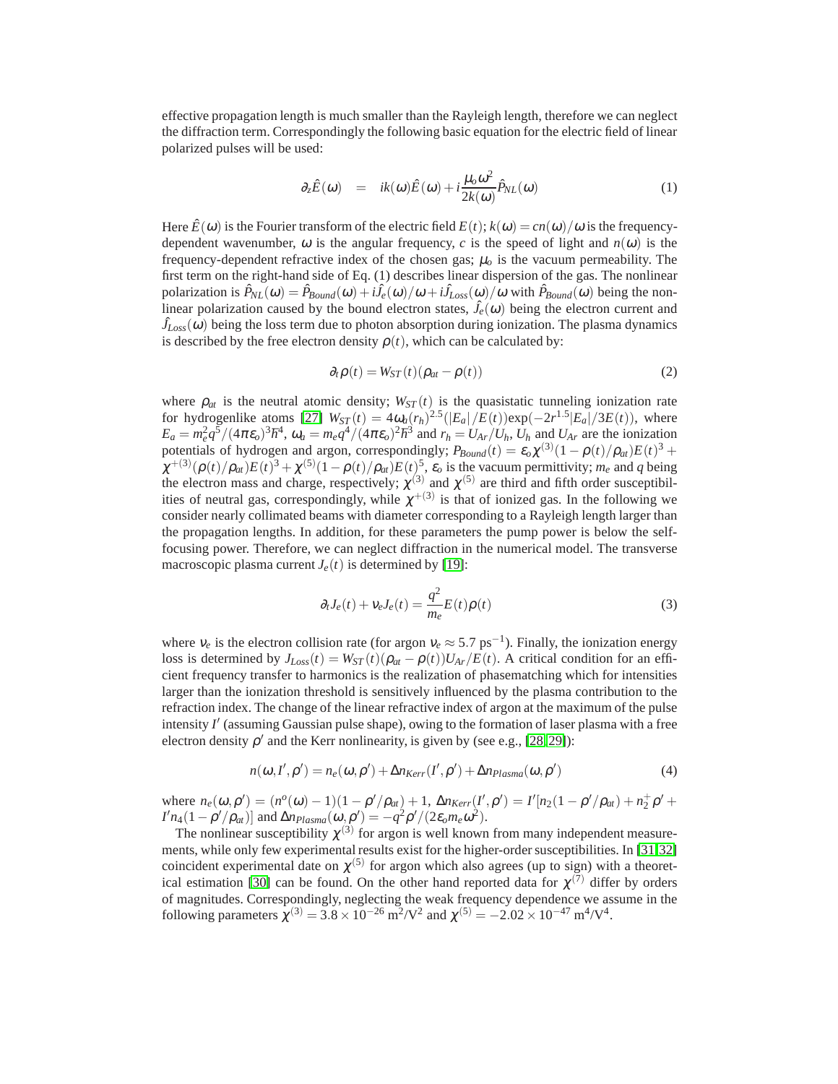effective propagation length is much smaller than the Rayleigh length, therefore we can neglect the diffraction term. Correspondingly the following basic equation for the electric field of linear polarized pulses will be used:

$$
\partial_z \hat{E}(\omega) = ik(\omega)\hat{E}(\omega) + i\frac{\mu_o \omega^2}{2k(\omega)}\hat{P}_{NL}(\omega)
$$
(1)

Here  $\hat{E}(\omega)$  is the Fourier transform of the electric field  $E(t)$ ;  $k(\omega) = cn(\omega)/\omega$  is the frequencydependent wavenumber,  $\omega$  is the angular frequency, *c* is the speed of light and  $n(\omega)$  is the frequency-dependent refractive index of the chosen gas;  $\mu_0$  is the vacuum permeability. The first term on the right-hand side of Eq. (1) describes linear dispersion of the gas. The nonlinear polarization is  $\hat{P}_{NL}(\omega) = \hat{P}_{Bound}(\omega) + i\hat{J}_{e}(\omega)/\omega + i\hat{J}_{Loss}(\omega)/\omega$  with  $\hat{P}_{Bound}(\omega)$  being the nonlinear polarization caused by the bound electron states,  $\hat{J}_e(\omega)$  being the electron current and  $\hat{J}_{Loss}(\omega)$  being the loss term due to photon absorption during ionization. The plasma dynamics is described by the free electron density  $\rho(t)$ , which can be calculated by:

$$
\partial_t \rho(t) = W_{ST}(t)(\rho_{at} - \rho(t))
$$
\n(2)

where  $\rho_{at}$  is the neutral atomic density;  $W_{ST}(t)$  is the quasistatic tunneling ionization rate for hydrogenlike atoms [\[27\]](#page-1-12)  $W_{ST}(t) = 4\omega_a (r_h)^{2.5} (|E_a|/E(t)) \exp(-2r^{1.5}|E_a|/3E(t))$ , where  $E_a = m_e^2 q^5 / (4\pi \varepsilon_o)^3 \hbar^4$ ,  $\omega_a = m_e q^4 / (4\pi \varepsilon_o)^2 \hbar^3$  and  $r_h = U_{Ar}/U_h$ ,  $U_h$  and  $U_{Ar}$  are the ionization potentials of hydrogen and argon, correspondingly;  $P_{Bound}(t) = \varepsilon_o \chi^{(3)} (1 - \rho(t)/\rho_{at}) E(t)^3 +$  $\chi^{+(3)}(\rho(t)/\rho_{at})E(t)^3 + \chi^{(5)}(1-\rho(t)/\rho_{at})E(t)$ ,  $\varepsilon_o$  is the vacuum permittivity;  $m_e$  and *q* being the electron mass and charge, respectively;  $\chi^{(3)}$  and  $\chi^{(5)}$  are third and fifth order susceptibilities of neutral gas, correspondingly, while  $\chi^{+(3)}$  is that of ionized gas. In the following we consider nearly collimated beams with diameter corresponding to a Rayleigh length larger than the propagation lengths. In addition, for these parameters the pump power is below the selffocusing power. Therefore, we can neglect diffraction in the numerical model. The transverse macroscopic plasma current  $J_e(t)$  is determined by [\[19\]](#page-1-13):

$$
\partial_t J_e(t) + v_e J_e(t) = \frac{q^2}{m_e} E(t) \rho(t)
$$
\n(3)

where  $v_e$  is the electron collision rate (for argon  $v_e \approx 5.7 \text{ ps}^{-1}$ ). Finally, the ionization energy loss is determined by  $J_{Loss}(t) = W_{ST}(t)(\rho_{at} - \rho(t))U_{Ar}/E(t)$ . A critical condition for an efficient frequency transfer to harmonics is the realization of phasematching which for intensities larger than the ionization threshold is sensitively influenced by the plasma contribution to the refraction index. The change of the linear refractive index of argon at the maximum of the pulse intensity *I* ′ (assuming Gaussian pulse shape), owing to the formation of laser plasma with a free electron density  $\rho'$  and the Kerr nonlinearity, is given by (see e.g., [\[28,](#page-1-14) [29\]](#page-1-15)):

$$
n(\omega, I', \rho') = n_e(\omega, \rho') + \Delta n_{Kerr}(I', \rho') + \Delta n_{Plasma}(\omega, \rho')
$$
\n(4)

where  $n_e(\omega, \rho') = (n^o(\omega) - 1)(1 - \rho'/\rho_{at}) + 1$ ,  $\Delta n_{Kerr}(I', \rho') = I'[n_2(1 - \rho'/\rho_{at}) + n^+_2\rho' +$ *I*<sup>'</sup> $n_4(1 - \rho'/\rho_{at})$ ] and Δ $n_{Plasma}(\omega, \rho') = -q^2\rho'/(2\varepsilon_0 m_e \omega^2)$ .

The nonlinear susceptibility  $\chi^{(3)}$  for argon is well known from many independent measurements, while only few experimental results exist for the higher-order susceptibilities. In [\[31,](#page-1-16)[32\]](#page-1-17) coincident experimental date on  $\chi^{(5)}$  for argon which also agrees (up to sign) with a theoret-ical estimation [\[30\]](#page-1-18) can be found. On the other hand reported data for  $\chi^{(7)}$  differ by orders of magnitudes. Correspondingly, neglecting the weak frequency dependence we assume in the following parameters  $\chi^{(3)} = 3.8 \times 10^{-26} \text{ m}^2/\text{V}^2$  and  $\chi^{(5)} = -2.02 \times 10^{-47} \text{ m}^4/\text{V}^4$ .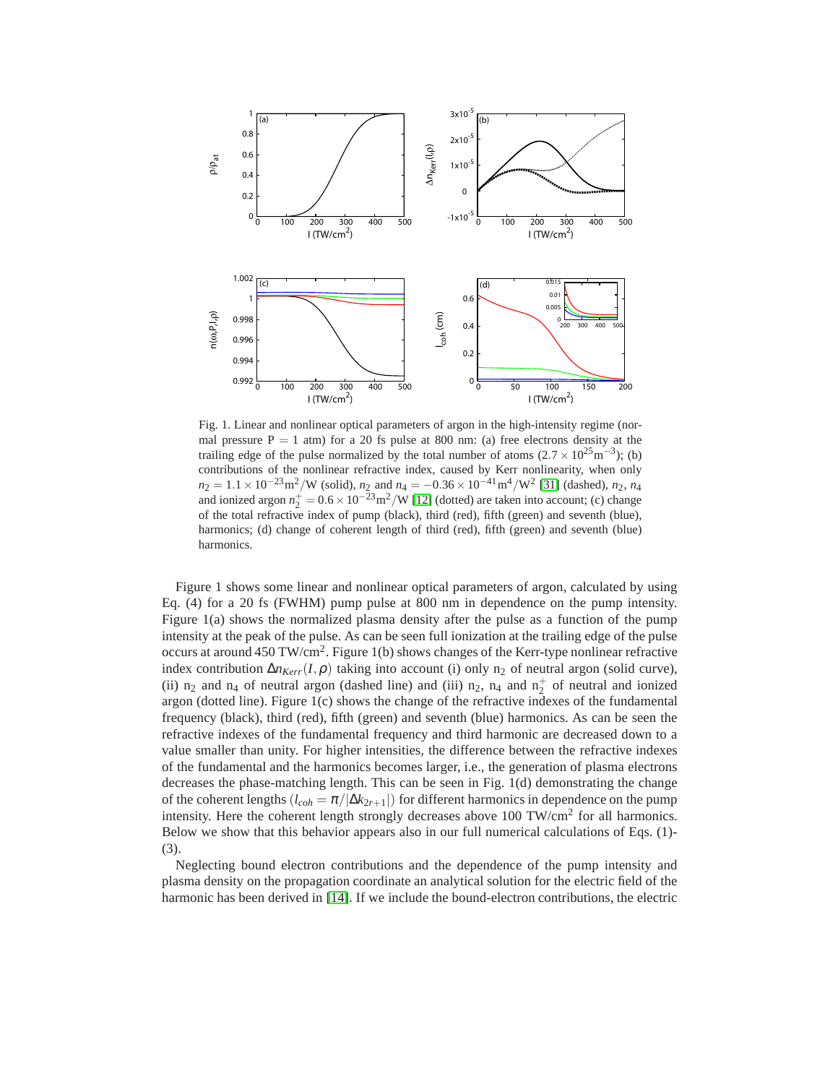

Fig. 1. Linear and nonlinear optical parameters of argon in the high-intensity regime (normal pressure  $P = 1$  atm) for a 20 fs pulse at 800 nm: (a) free electrons density at the trailing edge of the pulse normalized by the total number of atoms  $(2.7 \times 10^{25} \text{m}^{-3})$ ; (b) contributions of the nonlinear refractive index, caused by Kerr nonlinearity, when only  $n_2 = 1.1 \times 10^{-23} \text{m}^2/\text{W}$  (solid),  $n_2$  and  $n_4 = -0.36 \times 10^{-41} \text{m}^4/\text{W}^2$  [\[31\]](#page-1-16) (dashed),  $n_2$ ,  $n_4$ and ionized argon  $n_2^+ = 0.6 \times 10^{-23} \text{m}^2/\text{W}$  [\[12\]](#page-0-10) (dotted) are taken into account; (c) change of the total refractive index of pump (black), third (red), fifth (green) and seventh (blue), harmonics; (d) change of coherent length of third (red), fifth (green) and seventh (blue) harmonics.

Figure 1 shows some linear and nonlinear optical parameters of argon, calculated by using Eq. (4) for a 20 fs (FWHM) pump pulse at 800 nm in dependence on the pump intensity. Figure 1(a) shows the normalized plasma density after the pulse as a function of the pump intensity at the peak of the pulse. As can be seen full ionization at the trailing edge of the pulse occurs at around 450 TW/cm<sup>2</sup>. Figure 1(b) shows changes of the Kerr-type nonlinear refractive index contribution  $\Delta n_{Kerr}(I,\rho)$  taking into account (i) only n<sub>2</sub> of neutral argon (solid curve), (ii)  $n_2$  and  $n_4$  of neutral argon (dashed line) and (iii)  $n_2$ ,  $n_4$  and  $n_2^+$  of neutral and ionized argon (dotted line). Figure 1(c) shows the change of the refractive indexes of the fundamental frequency (black), third (red), fifth (green) and seventh (blue) harmonics. As can be seen the refractive indexes of the fundamental frequency and third harmonic are decreased down to a value smaller than unity. For higher intensities, the difference between the refractive indexes of the fundamental and the harmonics becomes larger, i.e., the generation of plasma electrons decreases the phase-matching length. This can be seen in Fig. 1(d) demonstrating the change of the coherent lengths  $(l_{coh} = \pi/|\Delta k_{2r+1}|)$  for different harmonics in dependence on the pump intensity. Here the coherent length strongly decreases above  $100 \text{ TW/cm}^2$  for all harmonics. Below we show that this behavior appears also in our full numerical calculations of Eqs. (1)- (3).

Neglecting bound electron contributions and the dependence of the pump intensity and plasma density on the propagation coordinate an analytical solution for the electric field of the harmonic has been derived in [\[14\]](#page-1-0). If we include the bound-electron contributions, the electric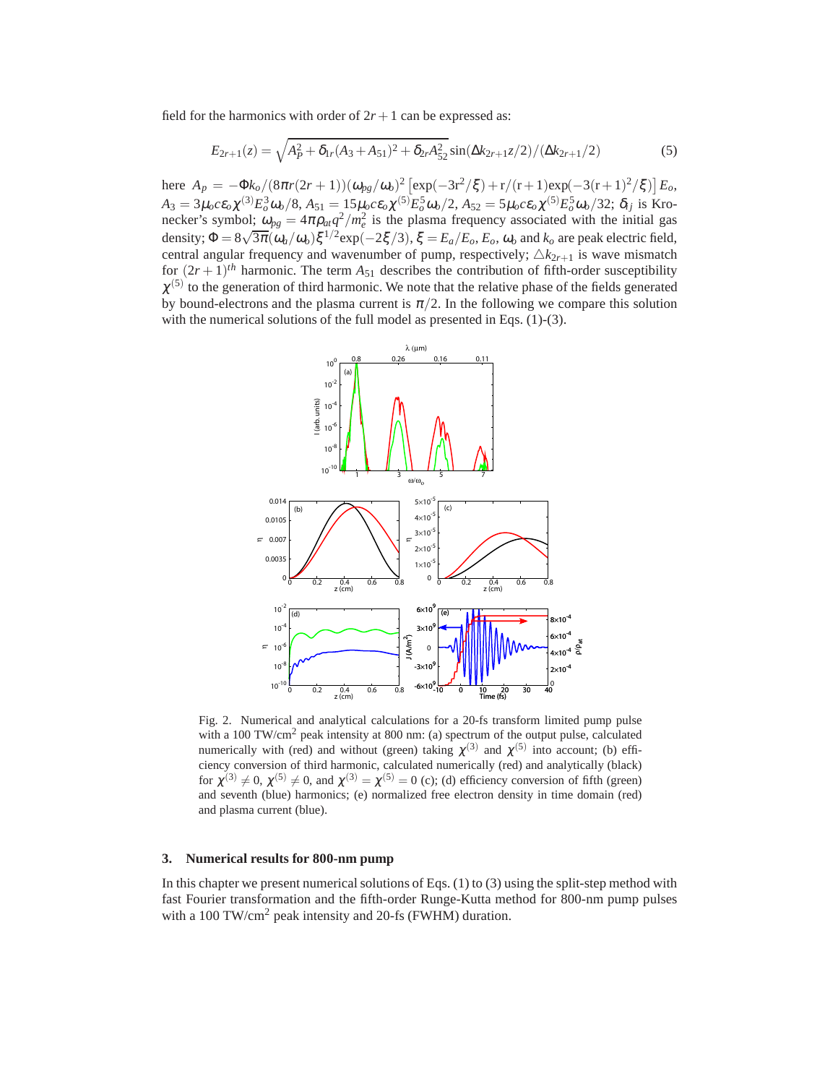field for the harmonics with order of  $2r + 1$  can be expressed as:

$$
E_{2r+1}(z) = \sqrt{A_P^2 + \delta_{1r}(A_3 + A_{51})^2 + \delta_{2r}A_{52}^2}\sin(\Delta k_{2r+1}z/2) / (\Delta k_{2r+1}/2)
$$
(5)

here  $A_p = -\Phi k_o / (8\pi r (2r+1)) (\omega_{pg} / \omega_o)^2 [\exp(-3r^2/\xi) + r/(r+1)\exp(-3(r+1)^2/\xi)] E_o$  $A_3 = 3\mu_0 c \epsilon_0 \chi^{(3)} E_0^3 \omega_0 / 8$ ,  $A_{51} = 15\mu_0 c \epsilon_0 \chi^{(5)} E_0^5 \omega_0 / 2$ ,  $A_{52} = 5\mu_0 c \epsilon_0 \chi^{(5)} E_0^5 \omega_0 / 32$ ;  $\delta_{ij}$  is Kronecker's symbol;  $\omega_{pg} = 4\pi \rho_{at} q^2 / m_e^2$  is the plasma frequency associated with the initial gas density;  $\Phi = 8\sqrt{3\pi}(\omega_a/\omega_o)\xi^{1/2} \exp(-2\xi/3), \xi = E_a/E_o, E_o, \omega_o$  and  $k_o$  are peak electric field, central angular frequency and wavenumber of pump, respectively;  $\triangle k_{2r+1}$  is wave mismatch for  $(2r+1)$ <sup>th</sup> harmonic. The term  $A_{51}$  describes the contribution of fifth-order susceptibility  $\chi^{(5)}$  to the generation of third harmonic. We note that the relative phase of the fields generated by bound-electrons and the plasma current is  $\pi/2$ . In the following we compare this solution with the numerical solutions of the full model as presented in Eqs. (1)-(3).



Fig. 2. Numerical and analytical calculations for a 20-fs transform limited pump pulse with a 100 TW/cm<sup>2</sup> peak intensity at 800 nm: (a) spectrum of the output pulse, calculated numerically with (red) and without (green) taking  $\chi^{(3)}$  and  $\chi^{(5)}$  into account; (b) efficiency conversion of third harmonic, calculated numerically (red) and analytically (black) for  $\chi^{(3)} \neq 0$ ,  $\chi^{(5)} \neq 0$ , and  $\chi^{(3)} = \chi^{(5)} = 0$  (c); (d) efficiency conversion of fifth (green) and seventh (blue) harmonics; (e) normalized free electron density in time domain (red) and plasma current (blue).

### **3. Numerical results for 800-nm pump**

In this chapter we present numerical solutions of Eqs.  $(1)$  to  $(3)$  using the split-step method with fast Fourier transformation and the fifth-order Runge-Kutta method for 800-nm pump pulses with a 100 TW/cm<sup>2</sup> peak intensity and 20-fs (FWHM) duration.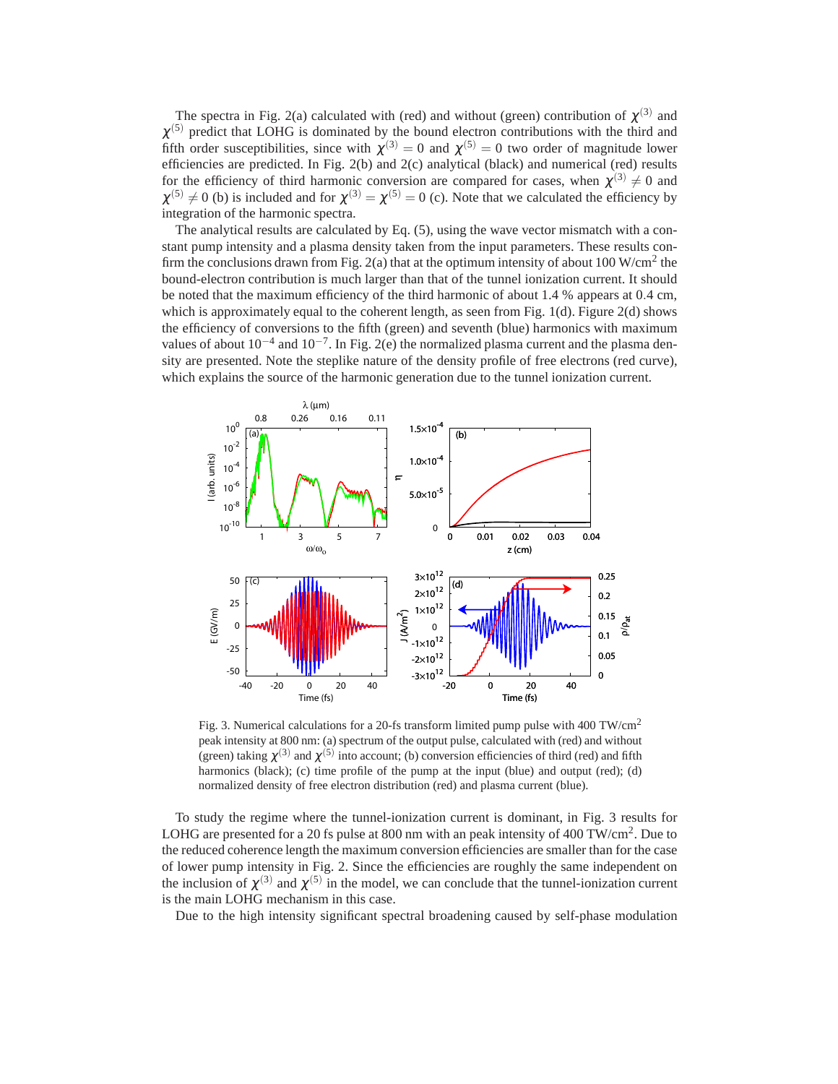The spectra in Fig. 2(a) calculated with (red) and without (green) contribution of  $\chi^{(3)}$  and  $\chi^{(5)}$  predict that LOHG is dominated by the bound electron contributions with the third and fifth order susceptibilities, since with  $\chi^{(3)} = 0$  and  $\chi^{(5)} = 0$  two order of magnitude lower efficiencies are predicted. In Fig. 2(b) and 2(c) analytical (black) and numerical (red) results for the efficiency of third harmonic conversion are compared for cases, when  $\chi^{(3)} \neq 0$  and  $\chi^{(5)} \neq 0$  (b) is included and for  $\chi^{(3)} = \chi^{(5)} = 0$  (c). Note that we calculated the efficiency by integration of the harmonic spectra.

The analytical results are calculated by Eq. (5), using the wave vector mismatch with a constant pump intensity and a plasma density taken from the input parameters. These results confirm the conclusions drawn from Fig. 2(a) that at the optimum intensity of about 100 W/cm<sup>2</sup> the bound-electron contribution is much larger than that of the tunnel ionization current. It should be noted that the maximum efficiency of the third harmonic of about 1.4 % appears at 0.4 cm, which is approximately equal to the coherent length, as seen from Fig. 1(d). Figure 2(d) shows the efficiency of conversions to the fifth (green) and seventh (blue) harmonics with maximum values of about  $10^{-4}$  and  $10^{-7}$ . In Fig. 2(e) the normalized plasma current and the plasma density are presented. Note the steplike nature of the density profile of free electrons (red curve), which explains the source of the harmonic generation due to the tunnel ionization current.



Fig. 3. Numerical calculations for a 20-fs transform limited pump pulse with 400 TW/cm<sup>2</sup> peak intensity at 800 nm: (a) spectrum of the output pulse, calculated with (red) and without (green) taking  $\chi^{(3)}$  and  $\chi^{(5)}$  into account; (b) conversion efficiencies of third (red) and fifth harmonics (black); (c) time profile of the pump at the input (blue) and output (red); (d) normalized density of free electron distribution (red) and plasma current (blue).

To study the regime where the tunnel-ionization current is dominant, in Fig. 3 results for LOHG are presented for a 20 fs pulse at 800 nm with an peak intensity of 400 TW/cm<sup>2</sup>. Due to the reduced coherence length the maximum conversion efficiencies are smaller than for the case of lower pump intensity in Fig. 2. Since the efficiencies are roughly the same independent on the inclusion of  $\chi^{(3)}$  and  $\chi^{(5)}$  in the model, we can conclude that the tunnel-ionization current is the main LOHG mechanism in this case.

Due to the high intensity significant spectral broadening caused by self-phase modulation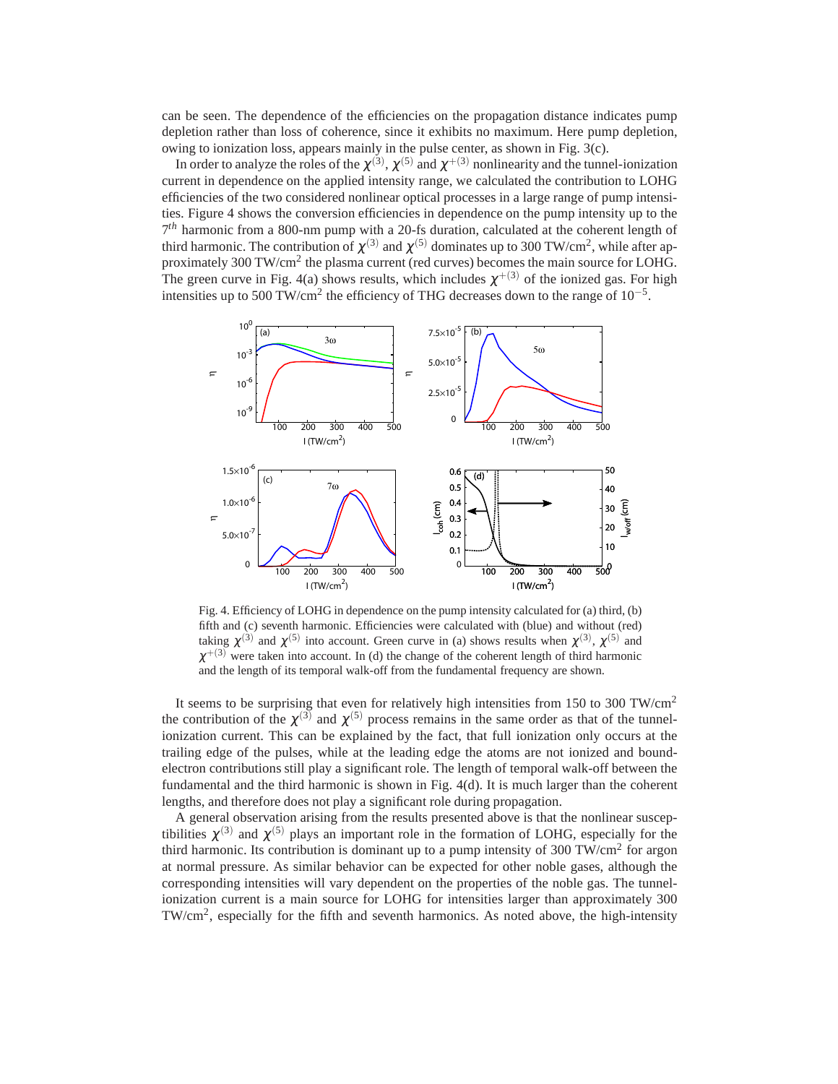can be seen. The dependence of the efficiencies on the propagation distance indicates pump depletion rather than loss of coherence, since it exhibits no maximum. Here pump depletion, owing to ionization loss, appears mainly in the pulse center, as shown in Fig. 3(c).

In order to analyze the roles of the  $\chi^{(3)},$   $\chi^{(5)}$  and  $\chi^{+(3)}$  nonlinearity and the tunnel-ionization current in dependence on the applied intensity range, we calculated the contribution to LOHG efficiencies of the two considered nonlinear optical processes in a large range of pump intensities. Figure 4 shows the conversion efficiencies in dependence on the pump intensity up to the 7 *th* harmonic from a 800-nm pump with a 20-fs duration, calculated at the coherent length of third harmonic. The contribution of  $\chi^{(3)}$  and  $\chi^{(5)}$  dominates up to 300 TW/cm<sup>2</sup>, while after approximately 300 TW/cm<sup>2</sup> the plasma current (red curves) becomes the main source for LOHG. The green curve in Fig. 4(a) shows results, which includes  $\chi^{+(3)}$  of the ionized gas. For high intensities up to 500 TW/cm<sup>2</sup> the efficiency of THG decreases down to the range of  $10^{-5}$ .



Fig. 4. Efficiency of LOHG in dependence on the pump intensity calculated for (a) third, (b) fifth and (c) seventh harmonic. Efficiencies were calculated with (blue) and without (red) taking  $\chi^{(3)}$  and  $\chi^{(5)}$  into account. Green curve in (a) shows results when  $\chi^{(3)}$ ,  $\chi^{(5)}$  and  $\chi^{+(3)}$  were taken into account. In (d) the change of the coherent length of third harmonic and the length of its temporal walk-off from the fundamental frequency are shown.

It seems to be surprising that even for relatively high intensities from 150 to 300 TW/cm<sup>2</sup> the contribution of the  $\chi^{(3)}$  and  $\chi^{(5)}$  process remains in the same order as that of the tunnelionization current. This can be explained by the fact, that full ionization only occurs at the trailing edge of the pulses, while at the leading edge the atoms are not ionized and boundelectron contributions still play a significant role. The length of temporal walk-off between the fundamental and the third harmonic is shown in Fig. 4(d). It is much larger than the coherent lengths, and therefore does not play a significant role during propagation.

A general observation arising from the results presented above is that the nonlinear susceptibilities  $\chi^{(3)}$  and  $\chi^{(5)}$  plays an important role in the formation of LOHG, especially for the third harmonic. Its contribution is dominant up to a pump intensity of 300 TW/cm<sup>2</sup> for argon at normal pressure. As similar behavior can be expected for other noble gases, although the corresponding intensities will vary dependent on the properties of the noble gas. The tunnelionization current is a main source for LOHG for intensities larger than approximately 300 TW/cm<sup>2</sup>, especially for the fifth and seventh harmonics. As noted above, the high-intensity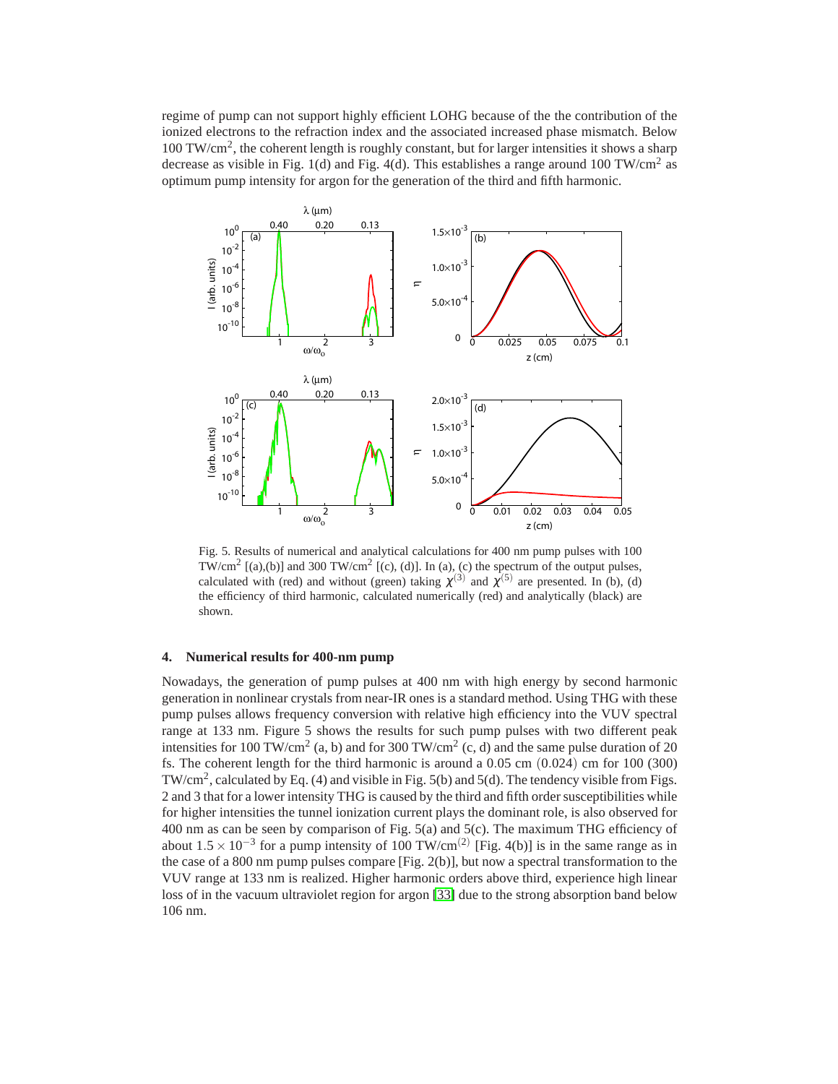regime of pump can not support highly efficient LOHG because of the the contribution of the ionized electrons to the refraction index and the associated increased phase mismatch. Below 100 TW/cm<sup>2</sup> , the coherent length is roughly constant, but for larger intensities it shows a sharp decrease as visible in Fig. 1(d) and Fig. 4(d). This establishes a range around 100 TW/cm<sup>2</sup> as optimum pump intensity for argon for the generation of the third and fifth harmonic.



Fig. 5. Results of numerical and analytical calculations for 400 nm pump pulses with 100 TW/cm<sup>2</sup> [(a),(b)] and 300 TW/cm<sup>2</sup> [(c), (d)]. In (a), (c) the spectrum of the output pulses, calculated with (red) and without (green) taking  $\chi^{(3)}$  and  $\chi^{(5)}$  are presented. In (b), (d) the efficiency of third harmonic, calculated numerically (red) and analytically (black) are shown.

#### **4. Numerical results for 400-nm pump**

Nowadays, the generation of pump pulses at 400 nm with high energy by second harmonic generation in nonlinear crystals from near-IR ones is a standard method. Using THG with these pump pulses allows frequency conversion with relative high efficiency into the VUV spectral range at 133 nm. Figure 5 shows the results for such pump pulses with two different peak intensities for 100 TW/cm<sup>2</sup> (a, b) and for 300 TW/cm<sup>2</sup> (c, d) and the same pulse duration of 20 fs. The coherent length for the third harmonic is around a  $0.05$  cm  $(0.024)$  cm for 100 (300) TW/cm<sup>2</sup>, calculated by Eq. (4) and visible in Fig. 5(b) and 5(d). The tendency visible from Figs. 2 and 3 that for a lower intensity THG is caused by the third and fifth order susceptibilities while for higher intensities the tunnel ionization current plays the dominant role, is also observed for 400 nm as can be seen by comparison of Fig. 5(a) and 5(c). The maximum THG efficiency of about  $1.5 \times 10^{-3}$  for a pump intensity of 100 TW/cm<sup>(2)</sup> [Fig. 4(b)] is in the same range as in the case of a 800 nm pump pulses compare [Fig. 2(b)], but now a spectral transformation to the VUV range at 133 nm is realized. Higher harmonic orders above third, experience high linear loss of in the vacuum ultraviolet region for argon [\[33\]](#page-1-19) due to the strong absorption band below 106 nm.